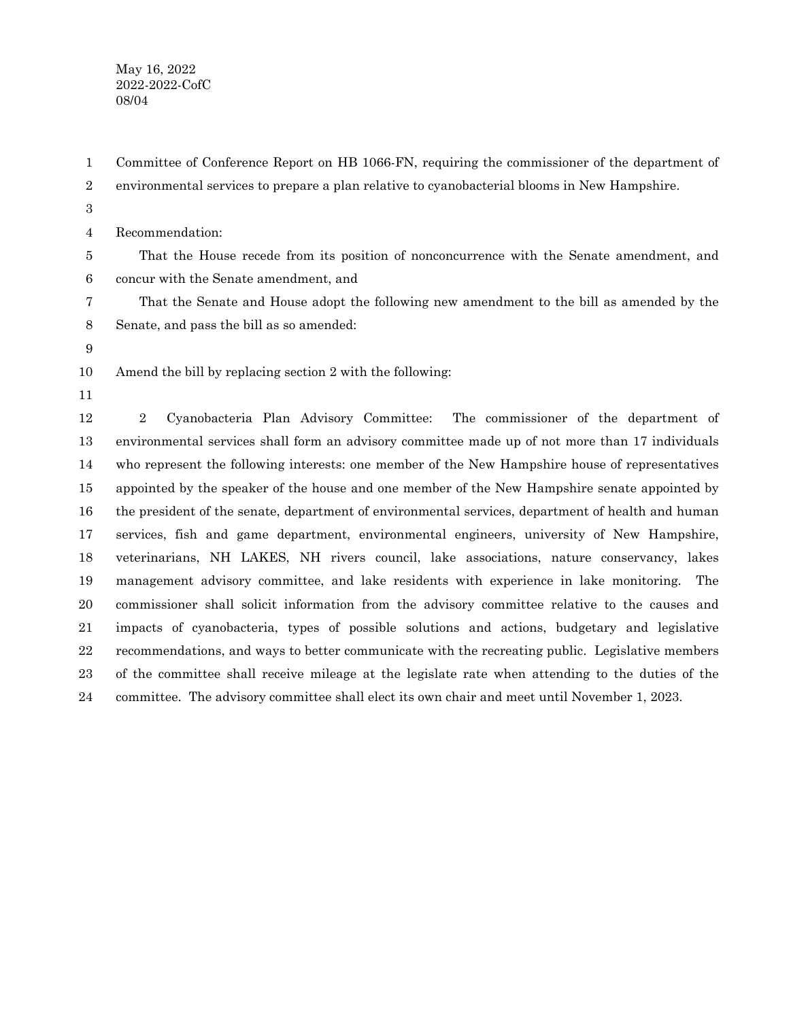May 16, 2022 2022-2022-CofC 08/04

Committee of Conference Report on HB 1066-FN, requiring the commissioner of the department of environmental services to prepare a plan relative to cyanobacterial blooms in New Hampshire. 1 2

3

Recommendation: 4

That the House recede from its position of nonconcurrence with the Senate amendment, and concur with the Senate amendment, and 5 6

That the Senate and House adopt the following new amendment to the bill as amended by the Senate, and pass the bill as so amended: 7 8

9

Amend the bill by replacing section 2 with the following: 10

11

2 Cyanobacteria Plan Advisory Committee: The commissioner of the department of environmental services shall form an advisory committee made up of not more than 17 individuals who represent the following interests: one member of the New Hampshire house of representatives appointed by the speaker of the house and one member of the New Hampshire senate appointed by the president of the senate, department of environmental services, department of health and human services, fish and game department, environmental engineers, university of New Hampshire, veterinarians, NH LAKES, NH rivers council, lake associations, nature conservancy, lakes management advisory committee, and lake residents with experience in lake monitoring. The commissioner shall solicit information from the advisory committee relative to the causes and impacts of cyanobacteria, types of possible solutions and actions, budgetary and legislative recommendations, and ways to better communicate with the recreating public. Legislative members of the committee shall receive mileage at the legislate rate when attending to the duties of the committee. The advisory committee shall elect its own chair and meet until November 1, 2023. 12 13 14 15 16 17 18 19 20 21 22 23 24